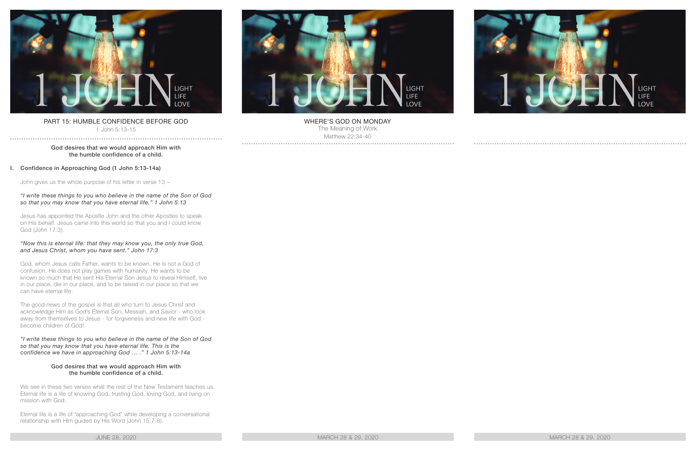

# PART 15: HUMBLE CONFIDENCE BEFORE GOD

1 John 5:13-15 . . . . . . . . . . . . . . . . .

## God desires that we would approach Him with the humble confidence of a child.

# I. Confidence in Approaching God (1 John 5:13-14a)

John gives us the whole purpose of his letter in verse 13 –

## *"I write these things to you who believe in the name of the Son of God so that you may know that you have eternal life." 1 John 5:13*

Jesus has appointed the Apostle John and the other Apostles to speak on His behalf. Jesus came into this world so that you and I could know God (John 17:3).

## *"Now this is eternal life: that they may know you, the only true God, and Jesus Christ, whom you have sent." John 17:3*

God, whom Jesus calls Father, wants to be known. He is not a God of confusion. He does not play games with humanity. He wants to be known so much that He sent His Eternal Son Jesus to reveal Himself, live in our place, die in our place, and to be raised in our place so that we can have eternal life.

The good news of the gospel is that all who turn to Jesus Christ and acknowledge Him as God's Eternal Son, Messiah, and Savior - who look away from themselves to Jesus - for forgiveness and new life with God become children of God!

*"I write these things to you who believe in the name of the Son of God so that you may know that you have eternal life. This is the confidence we have in approaching God … ." 1 John 5:13-14a*

#### God desires that we would approach Him with the humble confidence of a child.

We see in these two verses what the rest of the New Testament teaches us. Eternal life is a life of knowing God, trusting God, loving God, and living on mission with God.

Eternal life is a life of "approaching God" while developing a conversational relationship with Him guided by His Word (John 15:7-8).